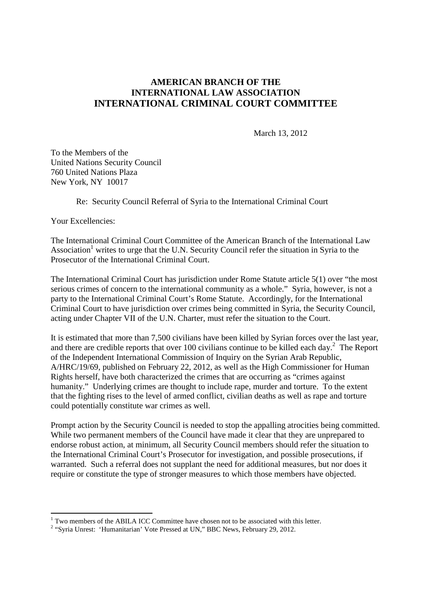## **AMERICAN BRANCH OF THE INTERNATIONAL LAW ASSOCIATION INTERNATIONAL CRIMINAL COURT COMMITTEE**

March 13, 2012

To the Members of the United Nations Security Council 760 United Nations Plaza New York, NY 10017

Re: Security Council Referral of Syria to the International Criminal Court

Your Excellencies:

<u>.</u>

The International Criminal Court Committee of the American Branch of the International Law Association<sup>1</sup> writes to urge that the U.N. Security Council refer the situation in Syria to the Prosecutor of the International Criminal Court.

The International Criminal Court has jurisdiction under Rome Statute article 5(1) over "the most serious crimes of concern to the international community as a whole." Syria, however, is not a party to the International Criminal Court's Rome Statute. Accordingly, for the International Criminal Court to have jurisdiction over crimes being committed in Syria, the Security Council, acting under Chapter VII of the U.N. Charter, must refer the situation to the Court.

It is estimated that more than 7,500 civilians have been killed by Syrian forces over the last year, and there are credible reports that over 100 civilians continue to be killed each day. $^2$  The Report of the Independent International Commission of Inquiry on the Syrian Arab Republic, A/HRC/19/69, published on February 22, 2012, as well as the High Commissioner for Human Rights herself, have both characterized the crimes that are occurring as "crimes against humanity." Underlying crimes are thought to include rape, murder and torture. To the extent that the fighting rises to the level of armed conflict, civilian deaths as well as rape and torture could potentially constitute war crimes as well.

Prompt action by the Security Council is needed to stop the appalling atrocities being committed. While two permanent members of the Council have made it clear that they are unprepared to endorse robust action, at minimum, all Security Council members should refer the situation to the International Criminal Court's Prosecutor for investigation, and possible prosecutions, if warranted. Such a referral does not supplant the need for additional measures, but nor does it require or constitute the type of stronger measures to which those members have objected.

<sup>&</sup>lt;sup>1</sup> Two members of the ABILA ICC Committee have chosen not to be associated with this letter.

<sup>&</sup>lt;sup>2</sup> "Syria Unrest: 'Humanitarian' Vote Pressed at UN," BBC News, February 29, 2012.